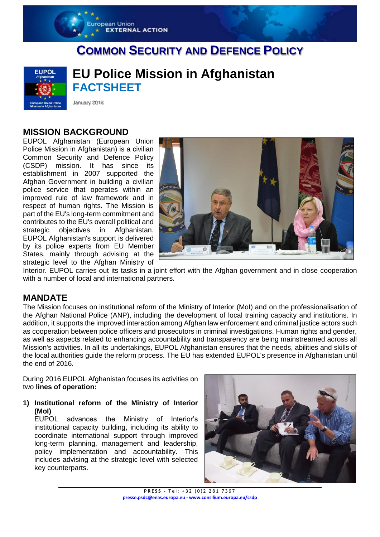# **COMMON SECURITY AND DEFENCE POLICY**



**EU Police Mission in Afghanistan FACTSHEET** 

January 2016

ropean Union

**EXTERNAL ACTION** 

### **MISSION BACKGROUND**

EUPOL Afghanistan (European Union Police Mission in Afghanistan) is a civilian Common Security and Defence Policy (CSDP) mission. It has since its establishment in 2007 supported the Afghan Government in building a civilian police service that operates within an improved rule of law framework and in respect of human rights. The Mission is part of the EU's long-term commitment and contributes to the EU's overall political and strategic objectives in Afghanistan. EUPOL Afghanistan's support is delivered by its police experts from EU Member States, mainly through advising at the strategic level to the Afghan Ministry of



Interior. EUPOL carries out its tasks in a joint effort with the Afghan government and in close cooperation with a number of local and international partners.

#### **MANDATE**

The Mission focuses on institutional reform of the Ministry of Interior (MoI) and on the professionalisation of the Afghan National Police (ANP), including the development of local training capacity and institutions. In addition, it supports the improved interaction among Afghan law enforcement and criminal justice actors such as cooperation between police officers and prosecutors in criminal investigations. Human rights and gender, as well as aspects related to enhancing accountability and transparency are being mainstreamed across all Mission's activities. In all its undertakings, EUPOL Afghanistan ensures that the needs, abilities and skills of the local authorities guide the reform process. The EU has extended EUPOL's presence in Afghanistan until the end of 2016.

During 2016 EUPOL Afghanistan focuses its activities on two **lines of operation:** 

**1) Institutional reform of the Ministry of Interior (MoI)**

EUPOL advances the Ministry of Interior's institutional capacity building, including its ability to coordinate international support through improved long-term planning, management and leadership, policy implementation and accountability. This includes advising at the strategic level with selected key counterparts.